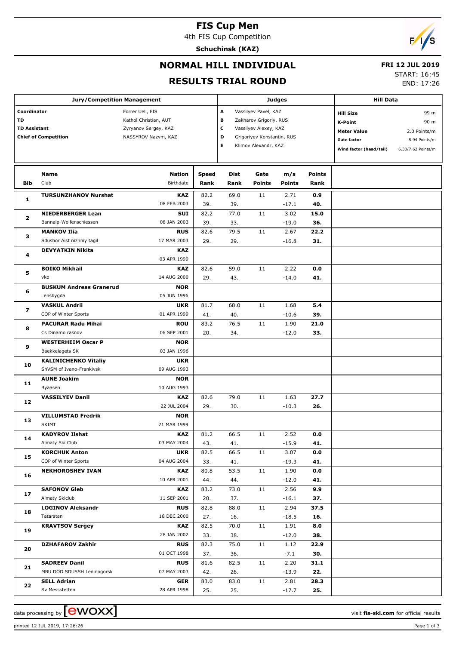# **FIS Cup Men**

4th FIS Cup Competition

**Schuchinsk (KAZ)**



## **NORMAL HILL INDIVIDUAL**

#### **FRI 12 JUL 2019**

#### **RESULTS TRIAL ROUND**

START: 16:45

END: 17:26

| <b>Jury/Competition Management</b>                                      |                                                         |                                                                                          |                      |              |                                                                                                                                                        | <b>Judges</b>        |                       | <b>Hill Data</b>                                                                                          |                                                                     |  |
|-------------------------------------------------------------------------|---------------------------------------------------------|------------------------------------------------------------------------------------------|----------------------|--------------|--------------------------------------------------------------------------------------------------------------------------------------------------------|----------------------|-----------------------|-----------------------------------------------------------------------------------------------------------|---------------------------------------------------------------------|--|
| Coordinator<br>TD<br><b>TD Assistant</b><br><b>Chief of Competition</b> |                                                         | Forrer Ueli, FIS<br>Kathol Christian, AUT<br>Zyryanov Sergey, KAZ<br>NASSYROV Nazym, KAZ |                      |              | A<br>Vassilyev Pavel, KAZ<br>в<br>Zakharov Grigoriy, RUS<br>c<br>Vassilyev Alexey, KAZ<br>D<br>Grigoriyev Konstantin, RUS<br>Е<br>Klimov Alexandr, KAZ |                      |                       | <b>Hill Size</b><br><b>K-Point</b><br><b>Meter Value</b><br><b>Gate factor</b><br>Wind factor (head/tail) | 99 m<br>90 m<br>2.0 Points/m<br>5.94 Points/m<br>6.30/7.62 Points/m |  |
| Bib                                                                     | Name<br>Club                                            | <b>Nation</b><br>Birthdate                                                               | <b>Speed</b><br>Rank | Dist<br>Rank | Gate<br><b>Points</b>                                                                                                                                  | m/s<br><b>Points</b> | <b>Points</b><br>Rank |                                                                                                           |                                                                     |  |
| 1                                                                       | <b>TURSUNZHANOV Nurshat</b>                             | <b>KAZ</b><br>08 FEB 2003                                                                | 82.2<br>39.          | 69.0<br>39.  | 11                                                                                                                                                     | 2.71<br>$-17.1$      | 0.9<br>40.            |                                                                                                           |                                                                     |  |
| $\mathbf{z}$                                                            | <b>NIEDERBERGER Lean</b><br>Bannalp-Wolfenschiessen     | <b>SUI</b><br>08 JAN 2003                                                                | 82.2<br>39.          | 77.0<br>33.  | 11                                                                                                                                                     | 3.02                 | 15.0<br>36.           |                                                                                                           |                                                                     |  |
| з                                                                       | <b>MANKOV Ilia</b>                                      | <b>RUS</b>                                                                               | 82.6                 | 79.5         | 11                                                                                                                                                     | $-19.0$<br>2.67      | 22.2                  |                                                                                                           |                                                                     |  |
| 4                                                                       | Sdushor Aist nizhniy tagil<br><b>DEVYATKIN Nikita</b>   | 17 MAR 2003<br><b>KAZ</b><br>03 APR 1999                                                 | 29.                  | 29.          |                                                                                                                                                        | $-16.8$              | 31.                   |                                                                                                           |                                                                     |  |
| 5                                                                       | <b>BOIKO Mikhail</b><br>vko                             | <b>KAZ</b><br>14 AUG 2000                                                                | 82.6<br>29.          | 59.0<br>43.  | 11                                                                                                                                                     | 2.22<br>$-14.0$      | 0.0<br>41.            |                                                                                                           |                                                                     |  |
| 6                                                                       | <b>BUSKUM Andreas Granerud</b><br>Lensbygda             | <b>NOR</b><br>05 JUN 1996                                                                |                      |              |                                                                                                                                                        |                      |                       |                                                                                                           |                                                                     |  |
| 7                                                                       | <b>VASKUL Andrii</b><br>COP of Winter Sports            | <b>UKR</b><br>01 APR 1999                                                                | 81.7<br>41.          | 68.0<br>40.  | 11                                                                                                                                                     | 1.68<br>$-10.6$      | 5.4<br>39.            |                                                                                                           |                                                                     |  |
| 8                                                                       | <b>PACURAR Radu Mihai</b><br>Cs Dinamo rasnov           | <b>ROU</b><br>06 SEP 2001                                                                | 83.2<br>20.          | 76.5<br>34.  | 11                                                                                                                                                     | 1.90<br>$-12.0$      | 21.0<br>33.           |                                                                                                           |                                                                     |  |
| 9                                                                       | <b>WESTERHEIM Oscar P</b><br>Baekkelagets SK            | <b>NOR</b><br>03 JAN 1996                                                                |                      |              |                                                                                                                                                        |                      |                       |                                                                                                           |                                                                     |  |
| 10                                                                      | <b>KALINICHENKO Vitaliy</b><br>ShVSM of Ivano-Frankivsk | <b>UKR</b><br>09 AUG 1993                                                                |                      |              |                                                                                                                                                        |                      |                       |                                                                                                           |                                                                     |  |
| 11                                                                      | <b>AUNE Joakim</b><br>Byaasen                           | <b>NOR</b><br>10 AUG 1993                                                                |                      |              |                                                                                                                                                        |                      |                       |                                                                                                           |                                                                     |  |
| 12                                                                      | <b>VASSILYEV Danil</b>                                  | <b>KAZ</b><br>22 JUL 2004                                                                | 82.6<br>29.          | 79.0<br>30.  | 11                                                                                                                                                     | 1.63<br>$-10.3$      | 27.7<br>26.           |                                                                                                           |                                                                     |  |
| 13                                                                      | <b>VILLUMSTAD Fredrik</b><br><b>SKIMT</b>               | <b>NOR</b><br>21 MAR 1999                                                                |                      |              |                                                                                                                                                        |                      |                       |                                                                                                           |                                                                     |  |
| 14                                                                      | <b>KADYROV Ilshat</b><br>Almaty Ski Club                | KAZ<br>03 MAY 2004                                                                       | 81.2<br>43.          | 66.5<br>41.  | 11                                                                                                                                                     | 2.52<br>$-15.9$      | 0.0<br>41.            |                                                                                                           |                                                                     |  |
| 15                                                                      | <b>KORCHUK Anton</b><br>COP of Winter Sports            | <b>UKR</b><br>04 AUG 2004                                                                | 82.5<br>33.          | 66.5<br>41.  | 11                                                                                                                                                     | 3.07<br>$-19.3$      | 0.0<br>41.            |                                                                                                           |                                                                     |  |
| 16                                                                      | <b>NEKHOROSHEV IVAN</b>                                 | <b>KAZ</b><br>10 APR 2001                                                                | 80.8<br>44.          | 53.5<br>44.  | 11                                                                                                                                                     | 1.90<br>$-12.0$      | 0.0<br>41.            |                                                                                                           |                                                                     |  |
| 17                                                                      | <b>SAFONOV Gleb</b><br>Almaty Skiclub                   | <b>KAZ</b><br>11 SEP 2001                                                                | 83.2<br>20.          | 73.0<br>37.  | 11                                                                                                                                                     | 2.56<br>$-16.1$      | 9.9<br>37.            |                                                                                                           |                                                                     |  |
| 18                                                                      | <b>LOGINOV Aleksandr</b><br>Tatarstan                   | <b>RUS</b><br>18 DEC 2000                                                                | 82.8<br>27.          | 88.0<br>16.  | 11                                                                                                                                                     | 2.94<br>$-18.5$      | 37.5<br>16.           |                                                                                                           |                                                                     |  |
| 19                                                                      | <b>KRAVTSOV Sergey</b>                                  | KAZ<br>28 JAN 2002                                                                       | 82.5<br>33.          | 70.0<br>38.  | 11                                                                                                                                                     | 1.91<br>$-12.0$      | 8.0<br>38.            |                                                                                                           |                                                                     |  |
| 20                                                                      | <b>DZHAFAROV Zakhir</b>                                 | <b>RUS</b><br>01 OCT 1998                                                                | 82.3<br>37.          | 75.0<br>36.  | 11                                                                                                                                                     | 1.12<br>$-7.1$       | 22.9<br>30.           |                                                                                                           |                                                                     |  |
| 21                                                                      | <b>SADREEV Danil</b><br>MBU DOD SDUSSH Leninogorsk      | <b>RUS</b><br>07 MAY 2003                                                                | 81.6<br>42.          | 82.5<br>26.  | 11                                                                                                                                                     | 2.20<br>$-13.9$      | 31.1<br>22.           |                                                                                                           |                                                                     |  |
| 22                                                                      | <b>SELL Adrian</b><br>Sv Messstetten                    | <b>GER</b><br>28 APR 1998                                                                | 83.0<br>25.          | 83.0<br>25.  | 11                                                                                                                                                     | 2.81<br>$-17.7$      | 28.3<br>25.           |                                                                                                           |                                                                     |  |

data processing by **CWOXX** and  $\overline{C}$  and  $\overline{C}$  and  $\overline{C}$  and  $\overline{C}$  and  $\overline{C}$  and  $\overline{C}$  and  $\overline{C}$  and  $\overline{C}$  and  $\overline{C}$  and  $\overline{C}$  and  $\overline{C}$  and  $\overline{C}$  and  $\overline{C}$  and  $\overline{C}$  and  $\overline{C}$ 

printed 12 JUL 2019, 17:26:26 Page 1 of 3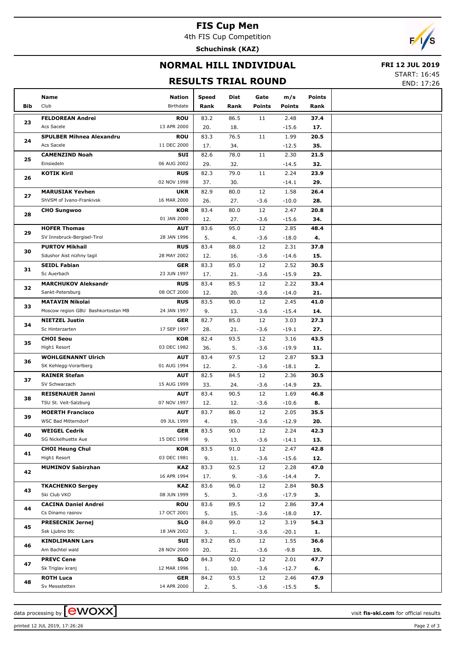## **FIS Cup Men**

4th FIS Cup Competition

**Schuchinsk (KAZ)**



# **NORMAL HILL INDIVIDUAL**

#### **FRI 12 JUL 2019**

#### **RESULTS TRIAL ROUND**

START: 16:45

END: 17:26

|            | Name                               | Nation                    | Speed       | Dist       | Gate          | m/s             | Points      |  |
|------------|------------------------------------|---------------------------|-------------|------------|---------------|-----------------|-------------|--|
| <b>Bib</b> | Club                               | Birthdate                 | Rank        | Rank       | <b>Points</b> | <b>Points</b>   | Rank        |  |
|            | <b>FELDOREAN Andrei</b>            | <b>ROU</b>                | 83.2        | 86.5       | 11            | 2.48            | 37.4        |  |
| 23         | Acs Sacele                         | 13 APR 2000               | 20.         | 18.        |               | $-15.6$         | 17.         |  |
|            | <b>SPULBER Mihnea Alexandru</b>    | <b>ROU</b>                | 83.3        | 76.5       | 11            | 1.99            | 20.5        |  |
| 24         | Acs Sacele                         | 11 DEC 2000               | 17.         | 34.        |               | $-12.5$         | 35.         |  |
| 25         | <b>CAMENZIND Noah</b>              | SUI                       | 82.6        | 78.0       | 11            | 2.30            | 21.5        |  |
|            | Einsiedeln                         | 06 AUG 2002               | 29.         | 32.        |               | $-14.5$         | 32.         |  |
| 26         | <b>KOTIK Kiril</b>                 | <b>RUS</b>                | 82.3        | 79.0       | 11            | 2.24            | 23.9        |  |
|            |                                    | 02 NOV 1998               | 37.         | 30.        |               | $-14.1$         | 29.         |  |
| 27         | <b>MARUSIAK Yevhen</b>             | <b>UKR</b>                | 82.9        | 80.0       | 12            | 1.58            | 26.4        |  |
|            | ShVSM of Ivano-Frankivsk           | 16 MAR 2000               | 26.         | 27.        | $-3.6$        | $-10.0$         | 28.         |  |
| 28         | <b>CHO Sungwoo</b>                 | <b>KOR</b>                | 83.4        | 80.0       | 12            | 2.47            | 20.8        |  |
|            |                                    | 01 JAN 2000               | 12.         | 27.        | $-3.6$        | $-15.6$         | 34.         |  |
| 29         | <b>HOFER Thomas</b>                | <b>AUT</b>                | 83.6        | 95.0       | 12            | 2.85            | 48.4        |  |
|            | SV Innsbruck-Bergisel-Tirol        | 28 JAN 1996               | 5.          | 4.         | $-3.6$        | $-18.0$         | 4.          |  |
| 30         | <b>PURTOV Mikhail</b>              | <b>RUS</b>                | 83.4        | 88.0       | 12            | 2.31            | 37.8        |  |
|            | Sdushor Aist nizhny tagil          | 28 MAY 2002               | 12.         | 16.        | $-3.6$        | $-14.6$         | 15.         |  |
| 31         | <b>SEIDL Fabian</b>                | <b>GER</b>                | 83.3        | 85.0       | 12            | 2.52            | 30.5        |  |
|            | Sc Auerbach                        | 23 JUN 1997               | 17.         | 21.        | $-3.6$        | $-15.9$         | 23.         |  |
| 32         | <b>MARCHUKOV Aleksandr</b>         | <b>RUS</b>                | 83.4        | 85.5       | 12            | 2.22            | 33.4        |  |
|            | Sankt-Petersburg                   | 08 OCT 2000               | 12.         | 20.        | $-3.6$        | $-14.0$         | 21.         |  |
| 33         | <b>MATAVIN Nikolai</b>             | <b>RUS</b>                | 83.5        | 90.0       | 12            | 2.45            | 41.0        |  |
|            | Moscow region GBU Bashkortostan MB | 24 JAN 1997               | 9.          | 13.        | $-3.6$        | $-15.4$         | 14.         |  |
| 34         | <b>NIETZEL Justin</b>              | <b>GER</b>                | 82.7        | 85.0       | 12            | 3.03            | 27.3        |  |
|            | Sc Hinterzarten                    | 17 SEP 1997               | 28.         | 21.        | $-3.6$        | $-19.1$         | 27.         |  |
| 35         | <b>CHOI Seou</b><br>High1 Resort   | <b>KOR</b><br>03 DEC 1982 | 82.4        | 93.5<br>5. | 12<br>$-3.6$  | 3.16            | 43.5        |  |
|            | <b>WOHLGENANNT Ulrich</b>          | <b>AUT</b>                | 36.<br>83.4 | 97.5       | 12            | $-19.9$<br>2.87 | 11.<br>53.3 |  |
| 36<br>37   | SK Kehlegg-Vorarlberg              | 01 AUG 1994               | 12.         | 2.         | $-3.6$        | $-18.1$         | 2.          |  |
|            | <b>RAINER Stefan</b>               | <b>AUT</b>                | 82.5        | 84.5       | 12            | 2.36            | 30.5        |  |
|            | SV Schwarzach                      | 15 AUG 1999               | 33.         | 24.        | $-3.6$        | $-14.9$         | 23.         |  |
|            | <b>REISENAUER Janni</b>            | <b>AUT</b>                | 83.4        | 90.5       | 12            | 1.69            | 46.8        |  |
| 38         | TSU St. Veit-Salzburg              | 07 NOV 1997               | 12.         | 12.        | $-3.6$        | $-10.6$         | 8.          |  |
|            | <b>MOERTH Francisco</b>            | <b>AUT</b>                | 83.7        | 86.0       | 12            | 2.05            | 35.5        |  |
| 39         | WSC Bad Mitterndorf                | 09 JUL 1999               | 4.          | 19.        | $-3.6$        | $-12.9$         | 20.         |  |
|            | <b>WEIGEL Cedrik</b>               | <b>GER</b>                | 83.5        | 90.0       | 12            | 2.24            | 42.3        |  |
| 40         | SG Nickelhuette Aue                | 15 DEC 1998               | 9.          | 13.        | $-3.6$        | $-14.1$         | 13.         |  |
|            | <b>CHOI Heung Chul</b>             | <b>KOR</b>                | 83.5        | 91.0       | 12            | 2.47            | 42.8        |  |
| 41         | High1 Resort                       | 03 DEC 1981               | 9.          | 11.        | $-3.6$        | $-15.6$         | 12.         |  |
|            | <b>MUMINOV Sabirzhan</b>           | <b>KAZ</b>                | 83.3        | 92.5       | 12            | 2.28            | 47.0        |  |
| 42         |                                    | 16 APR 1994               | 17.         | 9.         | $-3.6$        | $-14.4$         | 7.          |  |
|            | <b>TKACHENKO Sergey</b>            | <b>KAZ</b>                | 83.6        | 96.0       | 12            | 2.84            | 50.5        |  |
| 43         | Ski Club VKO                       | 08 JUN 1999               | 5.          | 3.         | $-3.6$        | $-17.9$         | 3.          |  |
| 44         | <b>CACINA Daniel Andrei</b>        | <b>ROU</b>                | 83.6        | 89.5       | 12            | 2.86            | 37.4        |  |
|            | Cs Dinamo rasnov                   | 17 OCT 2001               | 5.          | 15.        | $-3.6$        | $-18.0$         | 17.         |  |
| 45         | <b>PRESECNIK Jernej</b>            | <b>SLO</b>                | 84.0        | 99.0       | 12            | 3.19            | 54.3        |  |
|            | Ssk Ljubno btc                     | 18 JAN 2002               | 3.          | 1.         | $-3.6$        | $-20.1$         | 1.          |  |
| 46         | <b>KINDLIMANN Lars</b>             | SUI                       | 83.2        | 85.0       | 12            | 1.55            | 36.6        |  |
|            | Am Bachtel wald                    | 28 NOV 2000               | 20.         | 21.        | $-3.6$        | $-9.8$          | 19.         |  |
| 47         | <b>PREVC Cene</b>                  | <b>SLO</b>                | 84.3        | 92.0       | 12            | 2.01            | 47.7        |  |
|            | Sk Triglav kranj                   | 12 MAR 1996               | 1.          | 10.        | $-3.6$        | $-12.7$         | 6.          |  |
| 48         | <b>ROTH Luca</b>                   | <b>GER</b>                | 84.2        | 93.5       | 12            | 2.46            | 47.9        |  |
|            | Sv Messstetten                     | 14 APR 2000               | 2.          | 5.         | $-3.6$        | $-15.5$         | 5.          |  |

data processing by **CWOXX**  $\blacksquare$